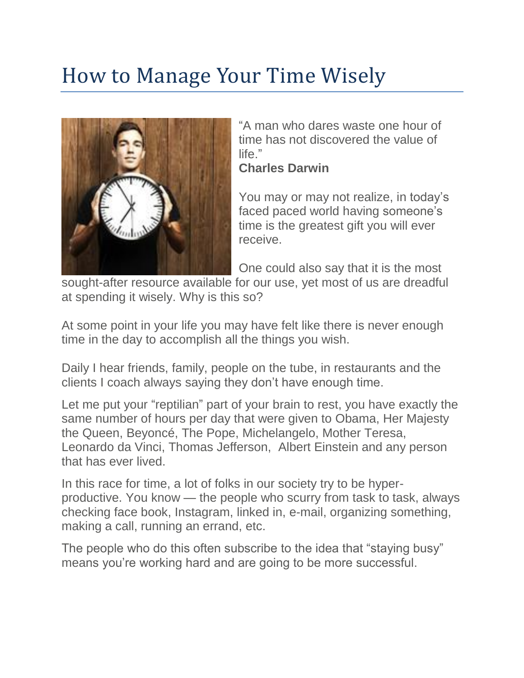## How to Manage Your Time Wisely



"A man who dares waste one hour of time has not discovered the value of life."

**Charles Darwin**

You may or may not realize, in today's faced paced world having someone's time is the greatest gift you will ever receive.

One could also say that it is the most

sought-after resource available for our use, yet most of us are dreadful at spending it wisely. Why is this so?

At some point in your life you may have felt like there is never enough time in the day to accomplish all the things you wish.

Daily I hear friends, family, people on the tube, in restaurants and the clients I coach always saying they don't have enough time.

Let me put your "reptilian" part of your brain to rest, you have exactly the same number of hours per day that were given to Obama, Her Majesty the Queen, Beyoncé, The Pope, Michelangelo, Mother Teresa, Leonardo da Vinci, Thomas Jefferson, Albert Einstein and any person that has ever lived.

In this race for time, a lot of folks in our society try to be hyperproductive. You know — the people who scurry from task to task, always checking face book, Instagram, linked in, e-mail, organizing something, making a call, running an errand, etc.

The people who do this often subscribe to the idea that "staying busy" means you're working hard and are going to be more successful.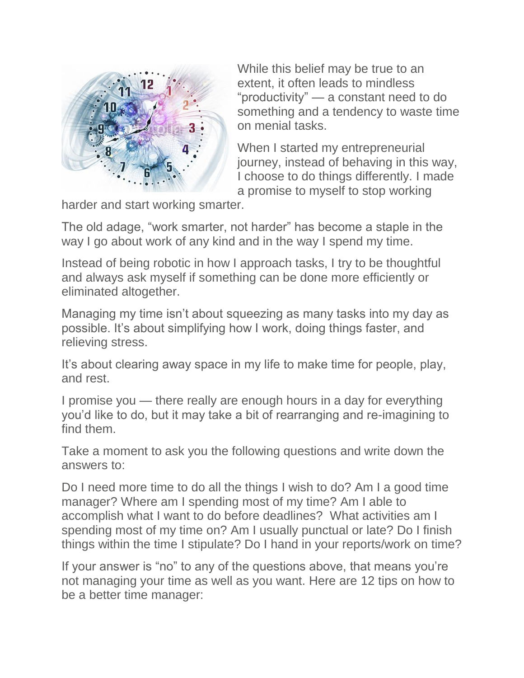

While this belief may be true to an extent, it often leads to mindless "productivity" — a constant need to do something and a tendency to waste time on menial tasks.

When I started my entrepreneurial journey, instead of behaving in this way, I choose to do things differently. I made a promise to myself to stop working

harder and start working smarter.

The old adage, "work smarter, not harder" has become a staple in the way I go about work of any kind and in the way I spend my time.

Instead of being robotic in how I approach tasks, I try to be thoughtful and always ask myself if something can be done more efficiently or eliminated altogether.

Managing my time isn't about squeezing as many tasks into my day as possible. It's about simplifying how I work, doing things faster, and relieving stress.

It's about clearing away space in my life to make time for people, play, and rest.

I promise you — there really are enough hours in a day for everything you'd like to do, but it may take a bit of rearranging and re-imagining to find them.

Take a moment to ask you the following questions and write down the answers to:

Do I need more time to do all the things I wish to do? Am I a good time manager? Where am I spending most of my time? Am I able to accomplish what I want to do before deadlines? What activities am I spending most of my time on? Am I usually punctual or late? Do I finish things within the time I stipulate? Do I hand in your reports/work on time?

If your answer is "no" to any of the questions above, that means you're not managing your time as well as you want. Here are 12 tips on how to be a better time manager: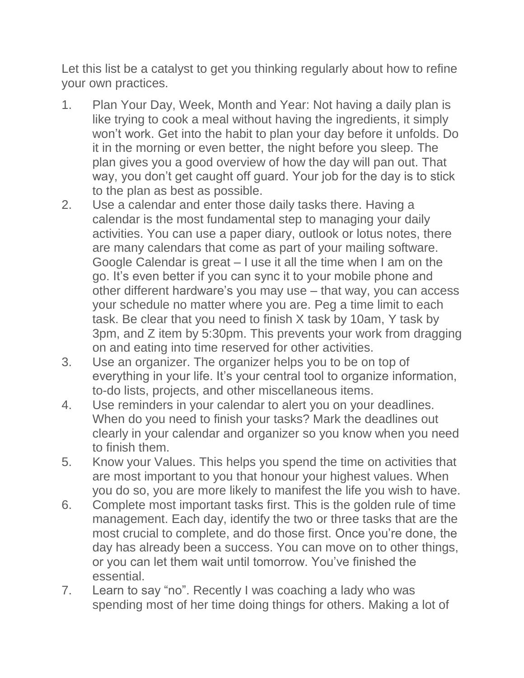Let this list be a catalyst to get you thinking regularly about how to refine your own practices.

- 1. Plan Your Day, Week, Month and Year: Not having a daily plan is like trying to cook a meal without having the ingredients, it simply won't work. Get into the habit to plan your day before it unfolds. Do it in the morning or even better, the night before you sleep. The plan gives you a good overview of how the day will pan out. That way, you don't get caught off guard. Your job for the day is to stick to the plan as best as possible.
- 2. Use a calendar and enter those daily tasks there. Having a calendar is the most fundamental step to managing your daily activities. You can use a paper diary, outlook or lotus notes, there are many calendars that come as part of your mailing software. Google Calendar is great – I use it all the time when I am on the go. It's even better if you can sync it to your mobile phone and other different hardware's you may use – that way, you can access your schedule no matter where you are. Peg a time limit to each task. Be clear that you need to finish X task by 10am, Y task by 3pm, and Z item by 5:30pm. This prevents your work from dragging on and eating into time reserved for other activities.
- 3. Use an organizer. The organizer helps you to be on top of everything in your life. It's your central tool to organize information, to-do lists, projects, and other miscellaneous items.
- 4. Use reminders in your calendar to alert you on your deadlines. When do you need to finish your tasks? Mark the deadlines out clearly in your calendar and organizer so you know when you need to finish them.
- 5. Know your Values. This helps you spend the time on activities that are most important to you that honour your highest values. When you do so, you are more likely to manifest the life you wish to have.
- 6. Complete most important tasks first. This is the golden rule of time management. Each day, identify the two or three tasks that are the most crucial to complete, and do those first. Once you're done, the day has already been a success. You can move on to other things, or you can let them wait until tomorrow. You've finished the essential.
- 7. Learn to say "no". Recently I was coaching a lady who was spending most of her time doing things for others. Making a lot of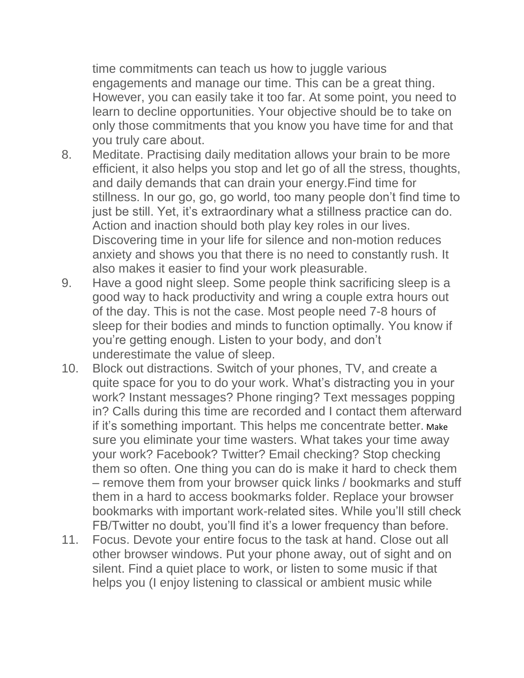time commitments can teach us how to juggle various engagements and manage our time. This can be a great thing. However, you can easily take it too far. At some point, you need to learn to decline opportunities. Your objective should be to take on only those commitments that you know you have time for and that you truly care about.

- 8. Meditate. Practising daily meditation allows your brain to be more efficient, it also helps you stop and let go of all the stress, thoughts, and daily demands that can drain your energy.Find time for stillness. In our go, go, go world, too many people don't find time to just be still. Yet, it's extraordinary what a stillness practice can do. Action and inaction should both play key roles in our lives. Discovering time in your life for silence and non-motion reduces anxiety and shows you that there is no need to constantly rush. It also makes it easier to find your work pleasurable.
- 9. Have a good night sleep. Some people think sacrificing sleep is a good way to hack productivity and wring a couple extra hours out of the day. This is not the case. Most people need 7-8 hours of sleep for their bodies and minds to function optimally. You know if you're getting enough. Listen to your body, and don't underestimate the value of sleep.
- 10. Block out distractions. Switch of your phones, TV, and create a quite space for you to do your work. What's distracting you in your work? Instant messages? Phone ringing? Text messages popping in? Calls during this time are recorded and I contact them afterward if it's something important. This helps me concentrate better. Make sure you eliminate your time wasters. What takes your time away your work? Facebook? Twitter? Email checking? Stop checking them so often. One thing you can do is make it hard to check them – remove them from your browser quick links / bookmarks and stuff them in a hard to access bookmarks folder. Replace your browser bookmarks with important work-related sites. While you'll still check FB/Twitter no doubt, you'll find it's a lower frequency than before.
- 11. Focus. Devote your entire focus to the task at hand. Close out all other browser windows. Put your phone away, out of sight and on silent. Find a quiet place to work, or listen to some music if that helps you (I enjoy listening to classical or ambient music while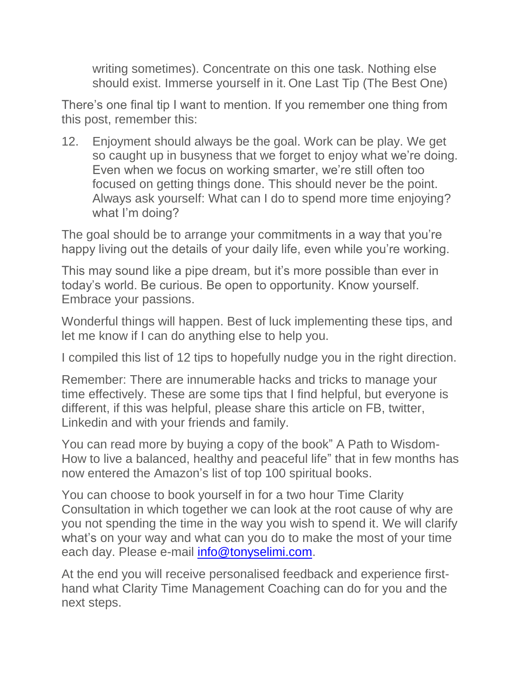writing sometimes). Concentrate on this one task. Nothing else should exist. Immerse yourself in it. One Last Tip (The Best One)

There's one final tip I want to mention. If you remember one thing from this post, remember this:

12. Enjoyment should always be the goal. Work can be play. We get so caught up in busyness that we forget to enjoy what we're doing. Even when we focus on working smarter, we're still often too focused on getting things done. This should never be the point. Always ask yourself: What can I do to spend more time enjoying? what I'm doing?

The goal should be to arrange your commitments in a way that you're happy living out the details of your daily life, even while you're working.

This may sound like a pipe dream, but it's more possible than ever in today's world. Be curious. Be open to opportunity. Know yourself. Embrace your passions.

Wonderful things will happen. Best of luck implementing these tips, and let me know if I can do anything else to help you.

I compiled this list of 12 tips to hopefully nudge you in the right direction.

Remember: There are innumerable hacks and tricks to manage your time effectively. These are some tips that I find helpful, but everyone is different, if this was helpful, please share this article on FB, twitter, Linkedin and with your friends and family.

You can read more by buying a copy of the book" A Path to Wisdom-How to live a balanced, healthy and peaceful life" that in few months has now entered the Amazon's list of top 100 spiritual books.

You can choose to book yourself in for a two hour Time Clarity Consultation in which together we can look at the root cause of why are you not spending the time in the way you wish to spend it. We will clarify what's on your way and what can you do to make the most of your time each day. Please e-mail [info@tonyselimi.com.](mailto:info@tonyselimi.com)

At the end you will receive personalised feedback and experience firsthand what Clarity Time Management Coaching can do for you and the next steps.